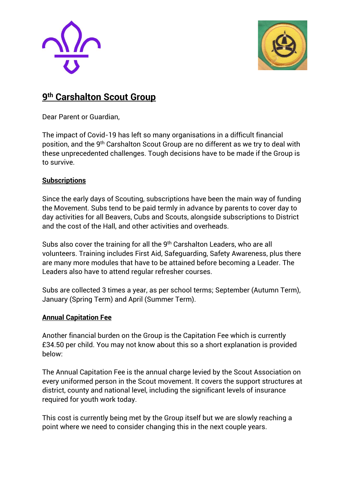



# **9 th Carshalton Scout Group**

Dear Parent or Guardian,

The impact of Covid-19 has left so many organisations in a difficult financial position, and the 9<sup>th</sup> Carshalton Scout Group are no different as we try to deal with these unprecedented challenges. Tough decisions have to be made if the Group is to survive.

## **Subscriptions**

Since the early days of Scouting, subscriptions have been the main way of funding the Movement. Subs tend to be paid termly in advance by parents to cover day to day activities for all Beavers, Cubs and Scouts, alongside subscriptions to District and the cost of the Hall, and other activities and overheads.

Subs also cover the training for all the 9<sup>th</sup> Carshalton Leaders, who are all volunteers. Training includes First Aid, Safeguarding, Safety Awareness, plus there are many more modules that have to be attained before becoming a Leader. The Leaders also have to attend regular refresher courses.

Subs are collected 3 times a year, as per school terms; September (Autumn Term), January (Spring Term) and April (Summer Term).

#### **Annual Capitation Fee**

Another financial burden on the Group is the Capitation Fee which is currently £34.50 per child. You may not know about this so a short explanation is provided below:

The Annual Capitation Fee is the annual charge levied by the Scout Association on every uniformed person in the Scout movement. It covers the support structures at district, county and national level, including the significant levels of insurance required for youth work today.

This cost is currently being met by the Group itself but we are slowly reaching a point where we need to consider changing this in the next couple years.